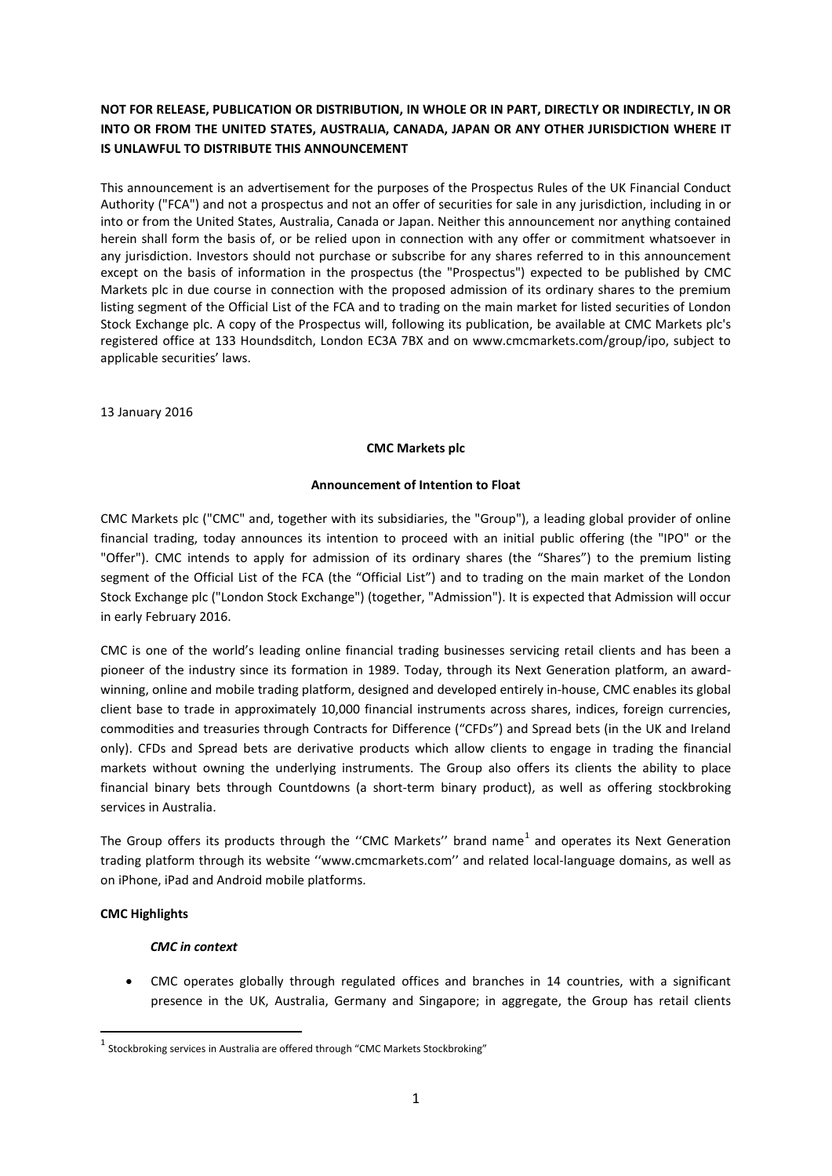# **NOT FOR RELEASE, PUBLICATION OR DISTRIBUTION, IN WHOLE OR IN PART, DIRECTLY OR INDIRECTLY, IN OR INTO OR FROM THE UNITED STATES, AUSTRALIA, CANADA, JAPAN OR ANY OTHER JURISDICTION WHERE IT IS UNLAWFUL TO DISTRIBUTE THIS ANNOUNCEMENT**

This announcement is an advertisement for the purposes of the Prospectus Rules of the UK Financial Conduct Authority ("FCA") and not a prospectus and not an offer of securities for sale in any jurisdiction, including in or into or from the United States, Australia, Canada or Japan. Neither this announcement nor anything contained herein shall form the basis of, or be relied upon in connection with any offer or commitment whatsoever in any jurisdiction. Investors should not purchase or subscribe for any shares referred to in this announcement except on the basis of information in the prospectus (the "Prospectus") expected to be published by CMC Markets plc in due course in connection with the proposed admission of its ordinary shares to the premium listing segment of the Official List of the FCA and to trading on the main market for listed securities of London Stock Exchange plc. A copy of the Prospectus will, following its publication, be available at CMC Markets plc's registered office at 133 Houndsditch, London EC3A 7BX and on www.cmcmarkets.com/group/ipo, subject to applicable securities' laws.

13 January 2016

#### **CMC Markets plc**

#### **Announcement of Intention to Float**

CMC Markets plc ("CMC" and, together with its subsidiaries, the "Group"), a leading global provider of online financial trading, today announces its intention to proceed with an initial public offering (the "IPO" or the "Offer"). CMC intends to apply for admission of its ordinary shares (the "Shares") to the premium listing segment of the Official List of the FCA (the "Official List") and to trading on the main market of the London Stock Exchange plc ("London Stock Exchange") (together, "Admission"). It is expected that Admission will occur in early February 2016.

CMC is one of the world's leading online financial trading businesses servicing retail clients and has been a pioneer of the industry since its formation in 1989. Today, through its Next Generation platform, an awardwinning, online and mobile trading platform, designed and developed entirely in-house, CMC enables its global client base to trade in approximately 10,000 financial instruments across shares, indices, foreign currencies, commodities and treasuries through Contracts for Difference ("CFDs") and Spread bets (in the UK and Ireland only). CFDs and Spread bets are derivative products which allow clients to engage in trading the financial markets without owning the underlying instruments. The Group also offers its clients the ability to place financial binary bets through Countdowns (a short-term binary product), as well as offering stockbroking services in Australia.

The Group offers its products through the "CMC Markets" brand name<sup>[1](#page-0-0)</sup> and operates its Next Generation trading platform through its website ''www.cmcmarkets.com'' and related local-language domains, as well as on iPhone, iPad and Android mobile platforms.

#### **CMC Highlights**

#### *CMC in context*

• CMC operates globally through regulated offices and branches in 14 countries, with a significant presence in the UK, Australia, Germany and Singapore; in aggregate, the Group has retail clients

<span id="page-0-0"></span> $1$  Stockbroking services in Australia are offered through "CMC Markets Stockbroking"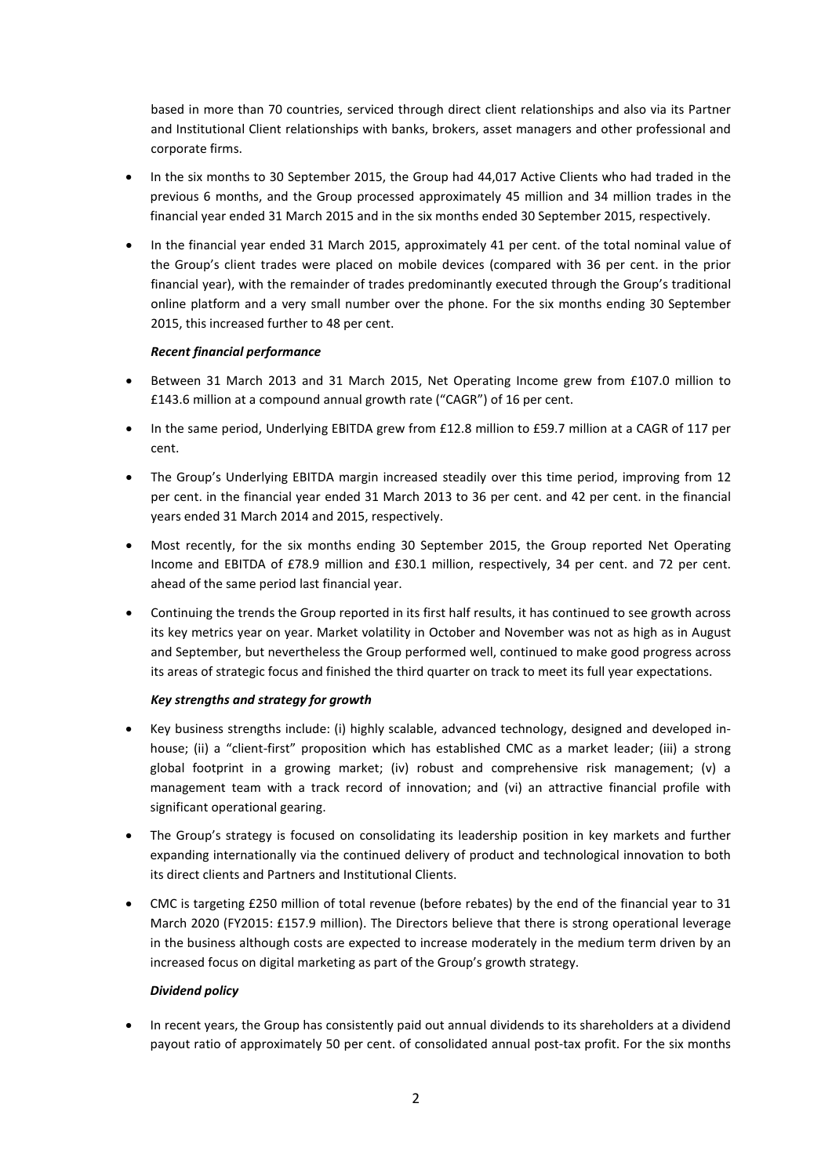based in more than 70 countries, serviced through direct client relationships and also via its Partner and Institutional Client relationships with banks, brokers, asset managers and other professional and corporate firms.

- In the six months to 30 September 2015, the Group had 44,017 Active Clients who had traded in the previous 6 months, and the Group processed approximately 45 million and 34 million trades in the financial year ended 31 March 2015 and in the six months ended 30 September 2015, respectively.
- In the financial year ended 31 March 2015, approximately 41 per cent. of the total nominal value of the Group's client trades were placed on mobile devices (compared with 36 per cent. in the prior financial year), with the remainder of trades predominantly executed through the Group's traditional online platform and a very small number over the phone. For the six months ending 30 September 2015, this increased further to 48 per cent.

# *Recent financial performance*

- Between 31 March 2013 and 31 March 2015, Net Operating Income grew from £107.0 million to £143.6 million at a compound annual growth rate ("CAGR") of 16 per cent.
- In the same period, Underlying EBITDA grew from £12.8 million to £59.7 million at a CAGR of 117 per cent.
- The Group's Underlying EBITDA margin increased steadily over this time period, improving from 12 per cent. in the financial year ended 31 March 2013 to 36 per cent. and 42 per cent. in the financial years ended 31 March 2014 and 2015, respectively.
- Most recently, for the six months ending 30 September 2015, the Group reported Net Operating Income and EBITDA of £78.9 million and £30.1 million, respectively, 34 per cent. and 72 per cent. ahead of the same period last financial year.
- Continuing the trends the Group reported in its first half results, it has continued to see growth across its key metrics year on year. Market volatility in October and November was not as high as in August and September, but nevertheless the Group performed well, continued to make good progress across its areas of strategic focus and finished the third quarter on track to meet its full year expectations.

#### *Key strengths and strategy for growth*

- Key business strengths include: (i) highly scalable, advanced technology, designed and developed inhouse; (ii) a "client-first" proposition which has established CMC as a market leader; (iii) a strong global footprint in a growing market; (iv) robust and comprehensive risk management; (v) a management team with a track record of innovation; and (vi) an attractive financial profile with significant operational gearing.
- The Group's strategy is focused on consolidating its leadership position in key markets and further expanding internationally via the continued delivery of product and technological innovation to both its direct clients and Partners and Institutional Clients.
- CMC is targeting £250 million of total revenue (before rebates) by the end of the financial year to 31 March 2020 (FY2015: £157.9 million). The Directors believe that there is strong operational leverage in the business although costs are expected to increase moderately in the medium term driven by an increased focus on digital marketing as part of the Group's growth strategy.

#### *Dividend policy*

• In recent years, the Group has consistently paid out annual dividends to its shareholders at a dividend payout ratio of approximately 50 per cent. of consolidated annual post-tax profit. For the six months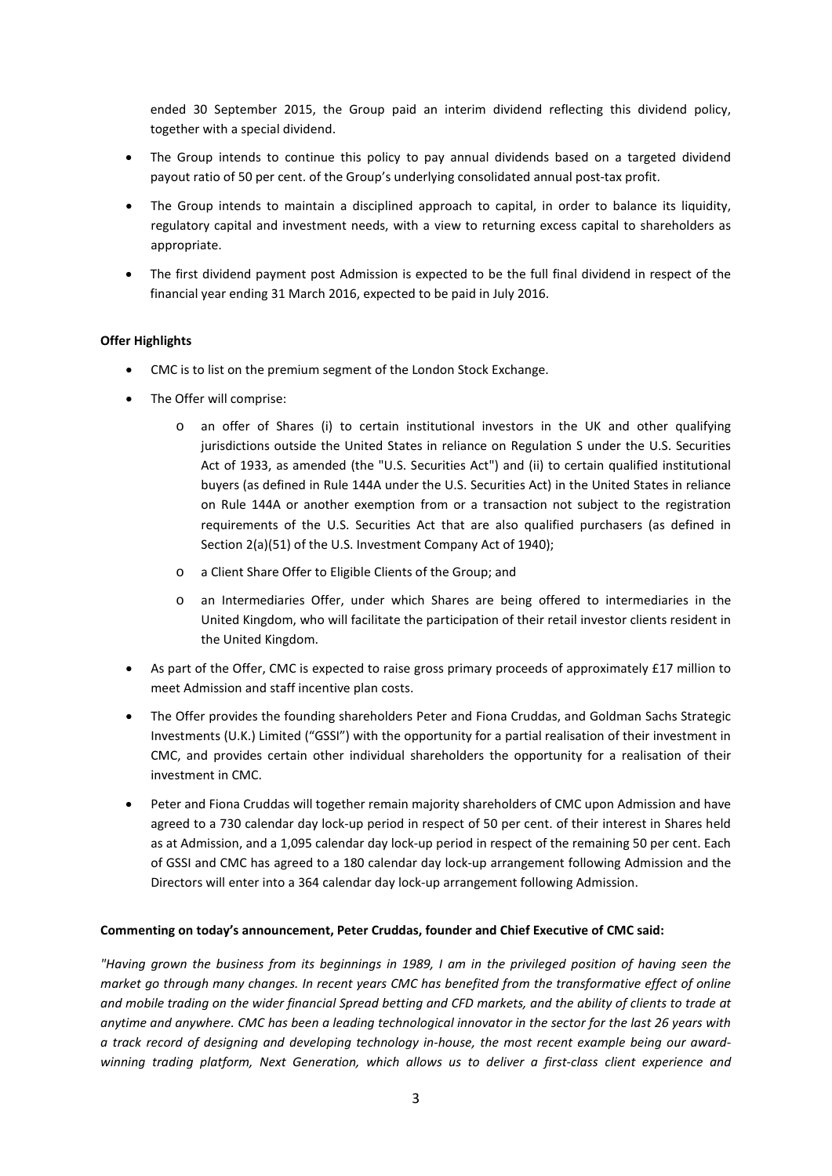ended 30 September 2015, the Group paid an interim dividend reflecting this dividend policy, together with a special dividend.

- The Group intends to continue this policy to pay annual dividends based on a targeted dividend payout ratio of 50 per cent. of the Group's underlying consolidated annual post-tax profit.
- The Group intends to maintain a disciplined approach to capital, in order to balance its liquidity, regulatory capital and investment needs, with a view to returning excess capital to shareholders as appropriate.
- The first dividend payment post Admission is expected to be the full final dividend in respect of the financial year ending 31 March 2016, expected to be paid in July 2016.

#### **Offer Highlights**

- CMC is to list on the premium segment of the London Stock Exchange.
- The Offer will comprise:
	- o an offer of Shares (i) to certain institutional investors in the UK and other qualifying jurisdictions outside the United States in reliance on Regulation S under the U.S. Securities Act of 1933, as amended (the "U.S. Securities Act") and (ii) to certain qualified institutional buyers (as defined in Rule 144A under the U.S. Securities Act) in the United States in reliance on Rule 144A or another exemption from or a transaction not subject to the registration requirements of the U.S. Securities Act that are also qualified purchasers (as defined in Section 2(a)(51) of the U.S. Investment Company Act of 1940);
	- o a Client Share Offer to Eligible Clients of the Group; and
	- o an Intermediaries Offer, under which Shares are being offered to intermediaries in the United Kingdom, who will facilitate the participation of their retail investor clients resident in the United Kingdom.
- As part of the Offer, CMC is expected to raise gross primary proceeds of approximately £17 million to meet Admission and staff incentive plan costs.
- The Offer provides the founding shareholders Peter and Fiona Cruddas, and Goldman Sachs Strategic Investments (U.K.) Limited ("GSSI") with the opportunity for a partial realisation of their investment in CMC, and provides certain other individual shareholders the opportunity for a realisation of their investment in CMC.
- Peter and Fiona Cruddas will together remain majority shareholders of CMC upon Admission and have agreed to a 730 calendar day lock-up period in respect of 50 per cent. of their interest in Shares held as at Admission, and a 1,095 calendar day lock-up period in respect of the remaining 50 per cent. Each of GSSI and CMC has agreed to a 180 calendar day lock-up arrangement following Admission and the Directors will enter into a 364 calendar day lock-up arrangement following Admission.

#### **Commenting on today's announcement, Peter Cruddas, founder and Chief Executive of CMC said:**

*"Having grown the business from its beginnings in 1989, I am in the privileged position of having seen the market go through many changes. In recent years CMC has benefited from the transformative effect of online and mobile trading on the wider financial Spread betting and CFD markets, and the ability of clients to trade at anytime and anywhere. CMC has been a leading technological innovator in the sector for the last 26 years with a track record of designing and developing technology in-house, the most recent example being our awardwinning trading platform, Next Generation, which allows us to deliver a first-class client experience and*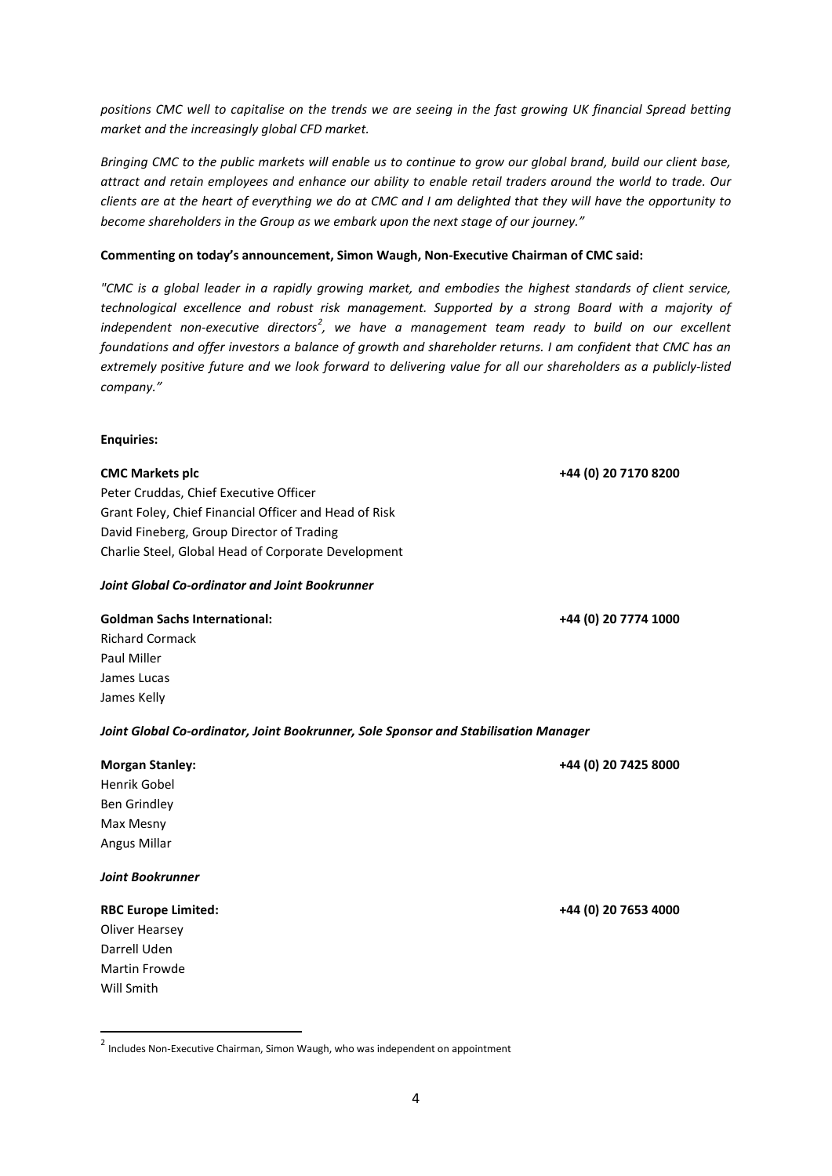*positions CMC well to capitalise on the trends we are seeing in the fast growing UK financial Spread betting market and the increasingly global CFD market.* 

*Bringing CMC to the public markets will enable us to continue to grow our global brand, build our client base, attract and retain employees and enhance our ability to enable retail traders around the world to trade. Our clients are at the heart of everything we do at CMC and I am delighted that they will have the opportunity to become shareholders in the Group as we embark upon the next stage of our journey."*

#### **Commenting on today's announcement, Simon Waugh, Non-Executive Chairman of CMC said:**

*"CMC is a global leader in a rapidly growing market, and embodies the highest standards of client service, technological excellence and robust risk management. Supported by a strong Board with a majority of*  independent non-executive directors<sup>[2](#page-3-0)</sup>, we have a management team ready to build on our excellent *foundations and offer investors a balance of growth and shareholder returns. I am confident that CMC has an extremely positive future and we look forward to delivering value for all our shareholders as a publicly-listed company."*

#### **Enquiries:**

Peter Cruddas, Chief Executive Officer Grant Foley, Chief Financial Officer and Head of Risk David Fineberg, Group Director of Trading Charlie Steel, Global Head of Corporate Development

#### *Joint Global Co-ordinator and Joint Bookrunner*

#### **Goldman Sachs International: +44 (0) 20 7774 1000**

Richard Cormack Paul Miller James Lucas James Kelly

#### *Joint Global Co-ordinator, Joint Bookrunner, Sole Sponsor and Stabilisation Manager*

| <b>Morgan Stanley:</b>     | +44 (0) 20 7425 8000 |
|----------------------------|----------------------|
| Henrik Gobel               |                      |
| Ben Grindley               |                      |
| Max Mesny                  |                      |
| Angus Millar               |                      |
| <b>Joint Bookrunner</b>    |                      |
| <b>RBC Europe Limited:</b> | +44 (0) 20 7653 4000 |

Oliver Hearsey Darrell Uden Martin Frowde Will Smith

**CMC Markets plc +44 (0) 20 7170 8200**

<span id="page-3-0"></span> $2$  Includes Non-Executive Chairman, Simon Waugh, who was independent on appointment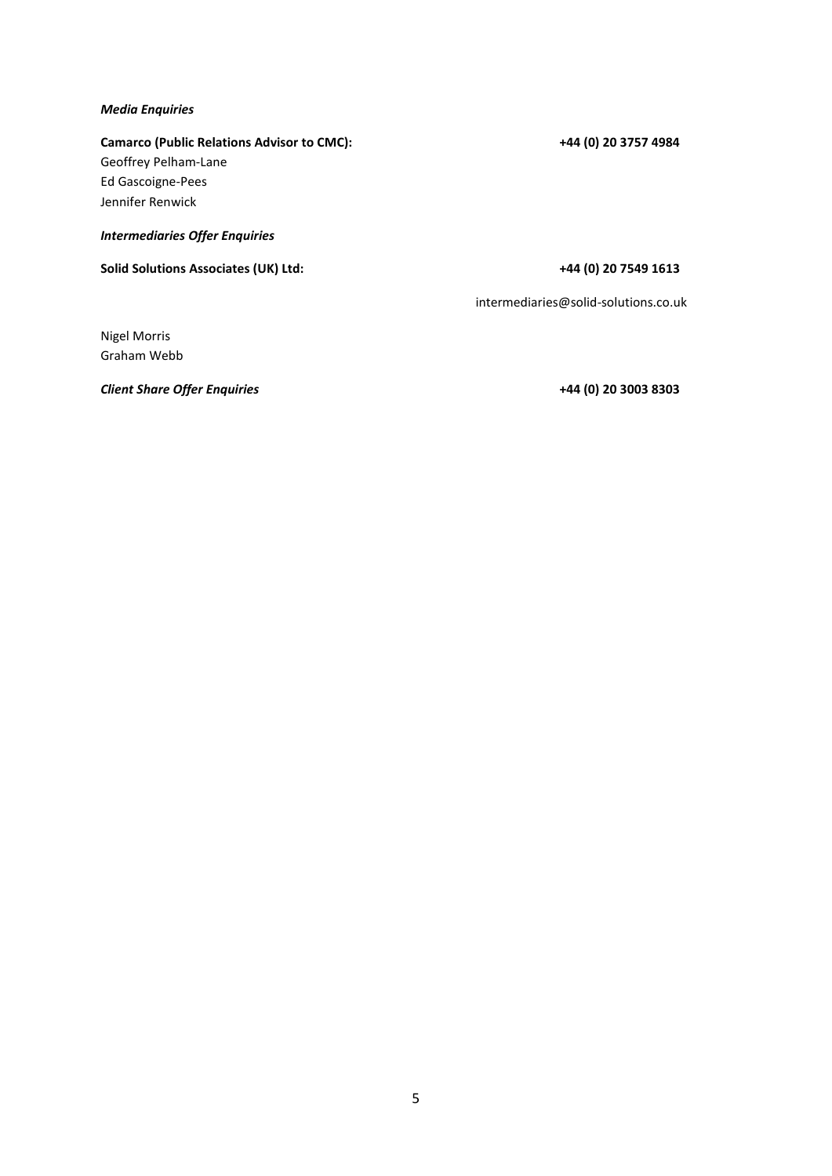#### *Media Enquiries*

# **Camarco (Public Relations Advisor to CMC): +44 (0) 20 3757 4984** Geoffrey Pelham-Lane

Ed Gascoigne-Pees Jennifer Renwick

# *Intermediaries Offer Enquiries*

**Solid Solutions Associates (UK) Ltd: +44 (0) 20 7549 1613**

[intermediaries@solid-solutions.co.uk](mailto:intermediaries@solid-solutions.co.uk)

Nigel Morris Graham Webb

*Client Share Offer Enquiries* **+44 (0) 20 3003 8303**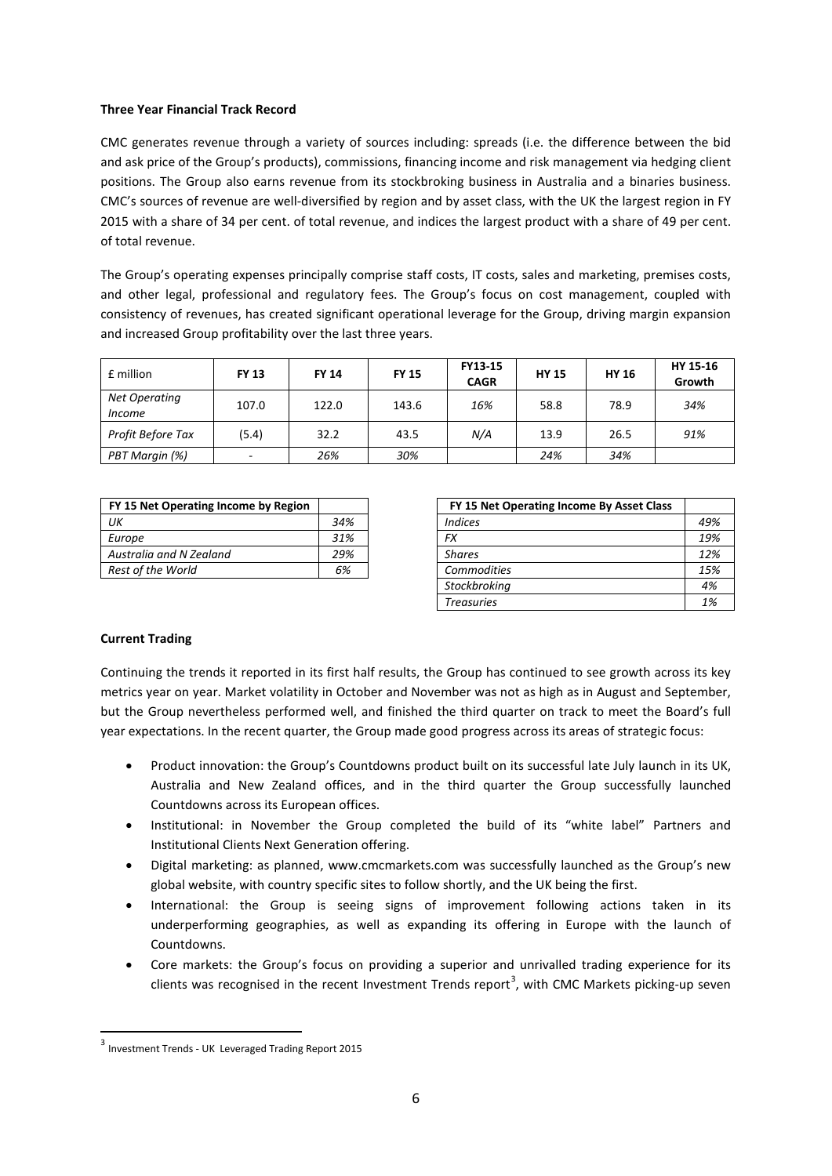# **Three Year Financial Track Record**

CMC generates revenue through a variety of sources including: spreads (i.e. the difference between the bid and ask price of the Group's products), commissions, financing income and risk management via hedging client positions. The Group also earns revenue from its stockbroking business in Australia and a binaries business. CMC's sources of revenue are well-diversified by region and by asset class, with the UK the largest region in FY 2015 with a share of 34 per cent. of total revenue, and indices the largest product with a share of 49 per cent. of total revenue.

The Group's operating expenses principally comprise staff costs, IT costs, sales and marketing, premises costs, and other legal, professional and regulatory fees. The Group's focus on cost management, coupled with consistency of revenues, has created significant operational leverage for the Group, driving margin expansion and increased Group profitability over the last three years.

| £ million                      | <b>FY 13</b> | <b>FY 14</b> | <b>FY 15</b> | FY13-15<br><b>CAGR</b> | <b>HY 15</b> | <b>HY 16</b> | HY 15-16<br>Growth |
|--------------------------------|--------------|--------------|--------------|------------------------|--------------|--------------|--------------------|
| Net Operating<br><i>Income</i> | 107.0        | 122.0        | 143.6        | 16%                    | 58.8         | 78.9         | 34%                |
| Profit Before Tax              | (5.4)        | 32.2         | 43.5         | N/A                    | 13.9         | 26.5         | 91%                |
| PBT Margin (%)                 |              | 26%          | 30%          |                        | 24%          | 34%          |                    |

| FY 15 Net Operating Income by Region |     | FY 15 Net Operating Income By Asset Class |
|--------------------------------------|-----|-------------------------------------------|
| UК                                   | 34% | Indices                                   |
| Europe                               | 31% | FX                                        |
| Australia and N Zealand              | 29% | <b>Shares</b>                             |
| Rest of the World                    | 6%  | <b>Commodities</b>                        |

| FY 15 Net Operating Income by Region |     | FY 15 Net Operating Income By Asset Class |     |
|--------------------------------------|-----|-------------------------------------------|-----|
| UК                                   | 34% | <b>Indices</b>                            | 49% |
| Europe                               | 31% | FX                                        | 19% |
| Australia and N Zealand              | 29% | <b>Shares</b>                             | 12% |
| Rest of the World                    | 6%  | <b>Commodities</b>                        | 15% |
|                                      |     | Stockbroking                              | 4%  |
|                                      |     | <b>Treasuries</b>                         | 1%  |

# **Current Trading**

Continuing the trends it reported in its first half results, the Group has continued to see growth across its key metrics year on year. Market volatility in October and November was not as high as in August and September, but the Group nevertheless performed well, and finished the third quarter on track to meet the Board's full year expectations. In the recent quarter, the Group made good progress across its areas of strategic focus:

- Product innovation: the Group's Countdowns product built on its successful late July launch in its UK, Australia and New Zealand offices, and in the third quarter the Group successfully launched Countdowns across its European offices.
- Institutional: in November the Group completed the build of its "white label" Partners and Institutional Clients Next Generation offering.
- Digital marketing: as planned, www.cmcmarkets.com was successfully launched as the Group's new global website, with country specific sites to follow shortly, and the UK being the first.
- International: the Group is seeing signs of improvement following actions taken in its underperforming geographies, as well as expanding its offering in Europe with the launch of Countdowns.
- Core markets: the Group's focus on providing a superior and unrivalled trading experience for its clients was recognised in the recent Investment Trends report<sup>[3](#page-5-0)</sup>, with CMC Markets picking-up seven

<span id="page-5-0"></span> <sup>3</sup> Investment Trends - UK Leveraged Trading Report <sup>2015</sup>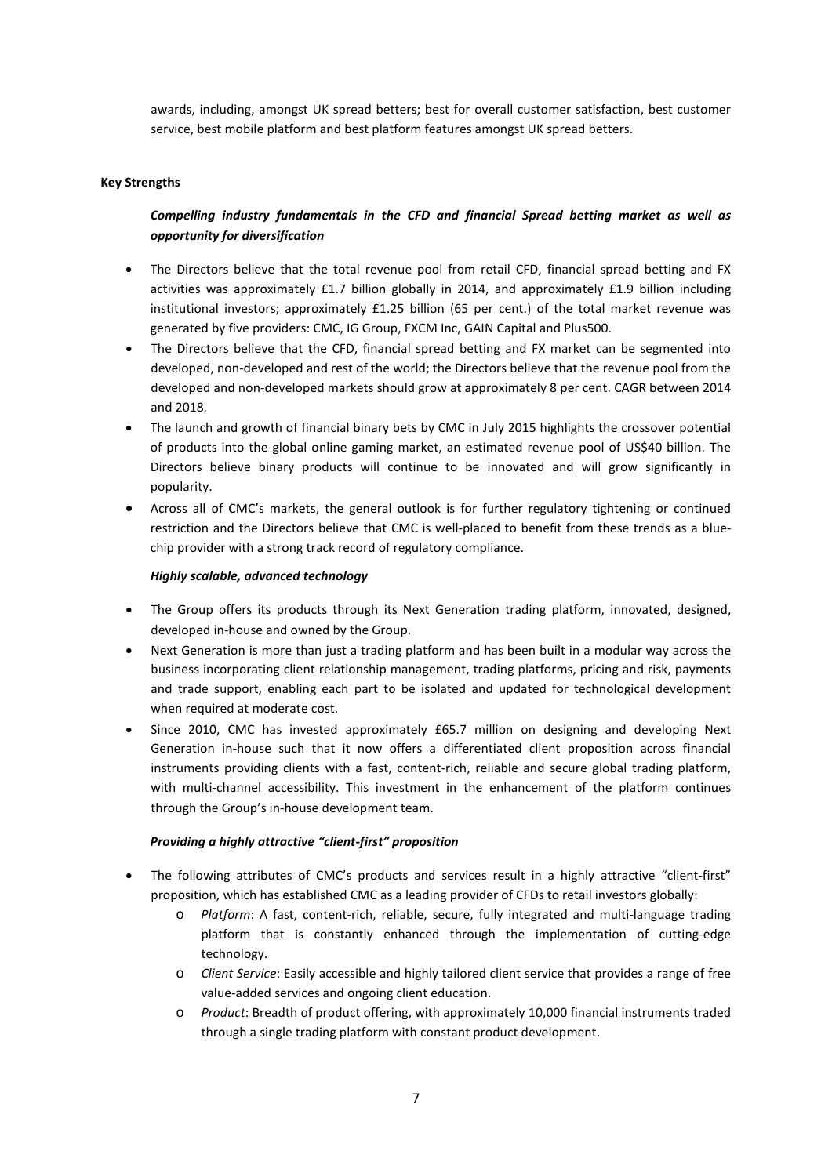awards, including, amongst UK spread betters; best for overall customer satisfaction, best customer service, best mobile platform and best platform features amongst UK spread betters.

# **Key Strengths**

# *Compelling industry fundamentals in the CFD and financial Spread betting market as well as opportunity for diversification*

- The Directors believe that the total revenue pool from retail CFD, financial spread betting and FX activities was approximately £1.7 billion globally in 2014, and approximately £1.9 billion including institutional investors; approximately £1.25 billion (65 per cent.) of the total market revenue was generated by five providers: CMC, IG Group, FXCM Inc, GAIN Capital and Plus500.
- The Directors believe that the CFD, financial spread betting and FX market can be segmented into developed, non-developed and rest of the world; the Directors believe that the revenue pool from the developed and non-developed markets should grow at approximately 8 per cent. CAGR between 2014 and 2018.
- The launch and growth of financial binary bets by CMC in July 2015 highlights the crossover potential of products into the global online gaming market, an estimated revenue pool of US\$40 billion. The Directors believe binary products will continue to be innovated and will grow significantly in popularity.
- Across all of CMC's markets, the general outlook is for further regulatory tightening or continued restriction and the Directors believe that CMC is well-placed to benefit from these trends as a bluechip provider with a strong track record of regulatory compliance.

#### *Highly scalable, advanced technology*

- The Group offers its products through its Next Generation trading platform, innovated, designed, developed in-house and owned by the Group.
- Next Generation is more than just a trading platform and has been built in a modular way across the business incorporating client relationship management, trading platforms, pricing and risk, payments and trade support, enabling each part to be isolated and updated for technological development when required at moderate cost.
- Since 2010, CMC has invested approximately £65.7 million on designing and developing Next Generation in-house such that it now offers a differentiated client proposition across financial instruments providing clients with a fast, content-rich, reliable and secure global trading platform, with multi-channel accessibility. This investment in the enhancement of the platform continues through the Group's in-house development team.

#### *Providing a highly attractive "client-first" proposition*

- The following attributes of CMC's products and services result in a highly attractive "client-first" proposition, which has established CMC as a leading provider of CFDs to retail investors globally:
	- o *Platform*: A fast, content-rich, reliable, secure, fully integrated and multi-language trading platform that is constantly enhanced through the implementation of cutting-edge technology.
	- o *Client Service*: Easily accessible and highly tailored client service that provides a range of free value-added services and ongoing client education.
	- o *Product*: Breadth of product offering, with approximately 10,000 financial instruments traded through a single trading platform with constant product development.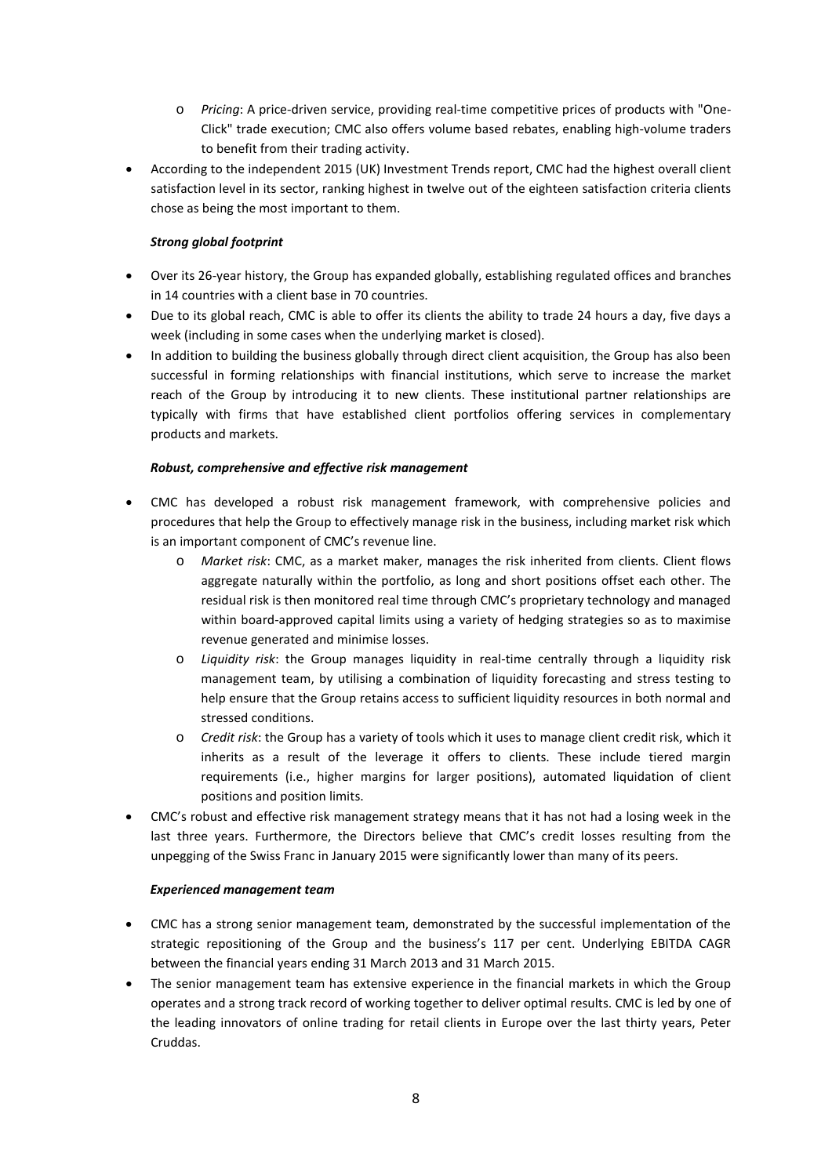- o *Pricing*: A price-driven service, providing real-time competitive prices of products with "One-Click" trade execution; CMC also offers volume based rebates, enabling high-volume traders to benefit from their trading activity.
- According to the independent 2015 (UK) Investment Trends report, CMC had the highest overall client satisfaction level in its sector, ranking highest in twelve out of the eighteen satisfaction criteria clients chose as being the most important to them.

# *Strong global footprint*

- Over its 26-year history, the Group has expanded globally, establishing regulated offices and branches in 14 countries with a client base in 70 countries.
- Due to its global reach, CMC is able to offer its clients the ability to trade 24 hours a day, five days a week (including in some cases when the underlying market is closed).
- In addition to building the business globally through direct client acquisition, the Group has also been successful in forming relationships with financial institutions, which serve to increase the market reach of the Group by introducing it to new clients. These institutional partner relationships are typically with firms that have established client portfolios offering services in complementary products and markets.

# *Robust, comprehensive and effective risk management*

- CMC has developed a robust risk management framework, with comprehensive policies and procedures that help the Group to effectively manage risk in the business, including market risk which is an important component of CMC's revenue line.
	- o *Market risk*: CMC, as a market maker, manages the risk inherited from clients. Client flows aggregate naturally within the portfolio, as long and short positions offset each other. The residual risk is then monitored real time through CMC's proprietary technology and managed within board-approved capital limits using a variety of hedging strategies so as to maximise revenue generated and minimise losses.
	- o *Liquidity risk*: the Group manages liquidity in real-time centrally through a liquidity risk management team, by utilising a combination of liquidity forecasting and stress testing to help ensure that the Group retains access to sufficient liquidity resources in both normal and stressed conditions.
	- o *Credit risk*: the Group has a variety of tools which it uses to manage client credit risk, which it inherits as a result of the leverage it offers to clients. These include tiered margin requirements (i.e., higher margins for larger positions), automated liquidation of client positions and position limits.
- CMC's robust and effective risk management strategy means that it has not had a losing week in the last three years. Furthermore, the Directors believe that CMC's credit losses resulting from the unpegging of the Swiss Franc in January 2015 were significantly lower than many of its peers.

#### *Experienced management team*

- CMC has a strong senior management team, demonstrated by the successful implementation of the strategic repositioning of the Group and the business's 117 per cent. Underlying EBITDA CAGR between the financial years ending 31 March 2013 and 31 March 2015.
- The senior management team has extensive experience in the financial markets in which the Group operates and a strong track record of working together to deliver optimal results. CMC is led by one of the leading innovators of online trading for retail clients in Europe over the last thirty years, Peter Cruddas.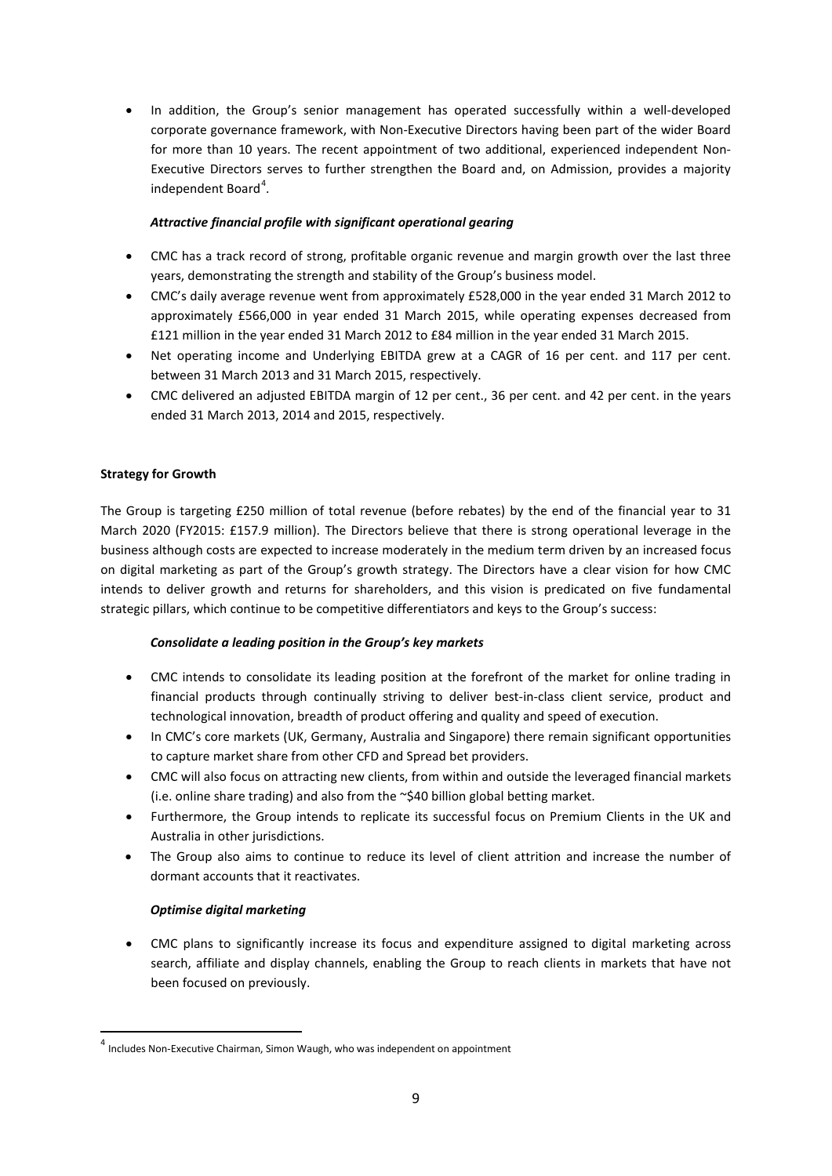• In addition, the Group's senior management has operated successfully within a well-developed corporate governance framework, with Non-Executive Directors having been part of the wider Board for more than 10 years. The recent appointment of two additional, experienced independent Non-Executive Directors serves to further strengthen the Board and, on Admission, provides a majority independent Board<sup>[4](#page-8-0)</sup>.

# *Attractive financial profile with significant operational gearing*

- CMC has a track record of strong, profitable organic revenue and margin growth over the last three years, demonstrating the strength and stability of the Group's business model.
- CMC's daily average revenue went from approximately £528,000 in the year ended 31 March 2012 to approximately £566,000 in year ended 31 March 2015, while operating expenses decreased from £121 million in the year ended 31 March 2012 to £84 million in the year ended 31 March 2015.
- Net operating income and Underlying EBITDA grew at a CAGR of 16 per cent. and 117 per cent. between 31 March 2013 and 31 March 2015, respectively.
- CMC delivered an adjusted EBITDA margin of 12 per cent., 36 per cent, and 42 per cent, in the years ended 31 March 2013, 2014 and 2015, respectively.

# **Strategy for Growth**

The Group is targeting £250 million of total revenue (before rebates) by the end of the financial year to 31 March 2020 (FY2015: £157.9 million). The Directors believe that there is strong operational leverage in the business although costs are expected to increase moderately in the medium term driven by an increased focus on digital marketing as part of the Group's growth strategy. The Directors have a clear vision for how CMC intends to deliver growth and returns for shareholders, and this vision is predicated on five fundamental strategic pillars, which continue to be competitive differentiators and keys to the Group's success:

#### *Consolidate a leading position in the Group's key markets*

- CMC intends to consolidate its leading position at the forefront of the market for online trading in financial products through continually striving to deliver best-in-class client service, product and technological innovation, breadth of product offering and quality and speed of execution.
- In CMC's core markets (UK, Germany, Australia and Singapore) there remain significant opportunities to capture market share from other CFD and Spread bet providers.
- CMC will also focus on attracting new clients, from within and outside the leveraged financial markets (i.e. online share trading) and also from the ~\$40 billion global betting market.
- Furthermore, the Group intends to replicate its successful focus on Premium Clients in the UK and Australia in other jurisdictions.
- The Group also aims to continue to reduce its level of client attrition and increase the number of dormant accounts that it reactivates.

#### *Optimise digital marketing*

• CMC plans to significantly increase its focus and expenditure assigned to digital marketing across search, affiliate and display channels, enabling the Group to reach clients in markets that have not been focused on previously.

<span id="page-8-0"></span> $4$  Includes Non-Executive Chairman, Simon Waugh, who was independent on appointment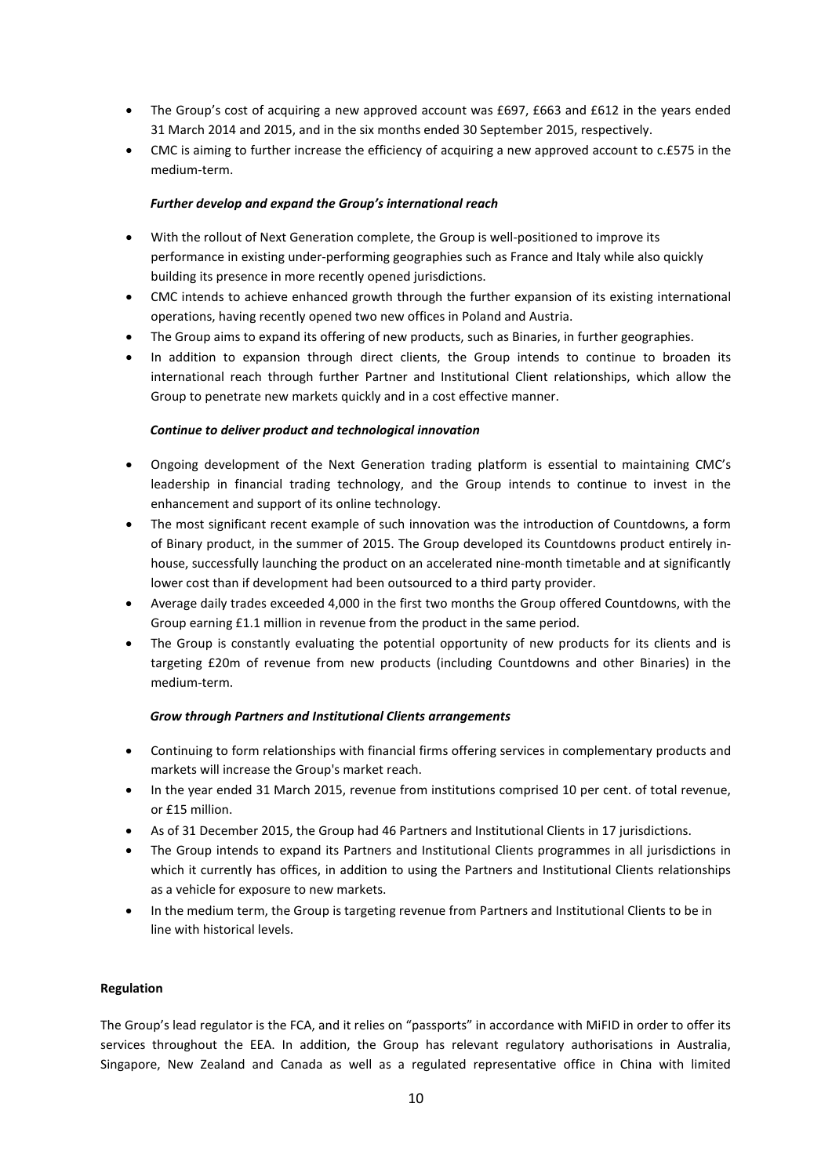- The Group's cost of acquiring a new approved account was £697, £663 and £612 in the years ended 31 March 2014 and 2015, and in the six months ended 30 September 2015, respectively.
- CMC is aiming to further increase the efficiency of acquiring a new approved account to c.£575 in the medium-term.

### *Further develop and expand the Group's international reach*

- With the rollout of Next Generation complete, the Group is well-positioned to improve its performance in existing under-performing geographies such as France and Italy while also quickly building its presence in more recently opened jurisdictions.
- CMC intends to achieve enhanced growth through the further expansion of its existing international operations, having recently opened two new offices in Poland and Austria.
- The Group aims to expand its offering of new products, such as Binaries, in further geographies.
- In addition to expansion through direct clients, the Group intends to continue to broaden its international reach through further Partner and Institutional Client relationships, which allow the Group to penetrate new markets quickly and in a cost effective manner.

# *Continue to deliver product and technological innovation*

- Ongoing development of the Next Generation trading platform is essential to maintaining CMC's leadership in financial trading technology, and the Group intends to continue to invest in the enhancement and support of its online technology.
- The most significant recent example of such innovation was the introduction of Countdowns, a form of Binary product, in the summer of 2015. The Group developed its Countdowns product entirely inhouse, successfully launching the product on an accelerated nine-month timetable and at significantly lower cost than if development had been outsourced to a third party provider.
- Average daily trades exceeded 4,000 in the first two months the Group offered Countdowns, with the Group earning £1.1 million in revenue from the product in the same period.
- The Group is constantly evaluating the potential opportunity of new products for its clients and is targeting £20m of revenue from new products (including Countdowns and other Binaries) in the medium-term.

# *Grow through Partners and Institutional Clients arrangements*

- Continuing to form relationships with financial firms offering services in complementary products and markets will increase the Group's market reach.
- In the year ended 31 March 2015, revenue from institutions comprised 10 per cent. of total revenue, or £15 million.
- As of 31 December 2015, the Group had 46 Partners and Institutional Clients in 17 jurisdictions.
- The Group intends to expand its Partners and Institutional Clients programmes in all jurisdictions in which it currently has offices, in addition to using the Partners and Institutional Clients relationships as a vehicle for exposure to new markets.
- In the medium term, the Group is targeting revenue from Partners and Institutional Clients to be in line with historical levels.

#### **Regulation**

The Group's lead regulator is the FCA, and it relies on "passports" in accordance with MiFID in order to offer its services throughout the EEA. In addition, the Group has relevant regulatory authorisations in Australia, Singapore, New Zealand and Canada as well as a regulated representative office in China with limited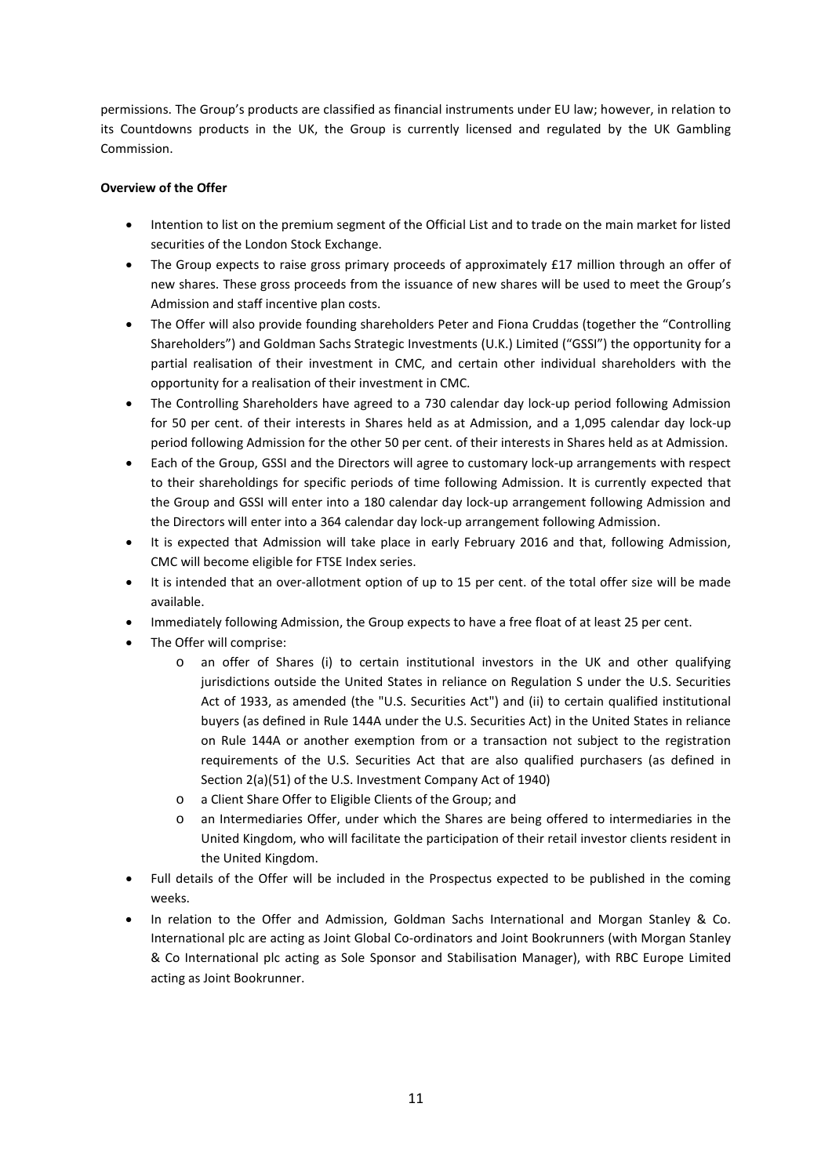permissions. The Group's products are classified as financial instruments under EU law; however, in relation to its Countdowns products in the UK, the Group is currently licensed and regulated by the UK Gambling Commission.

# **Overview of the Offer**

- Intention to list on the premium segment of the Official List and to trade on the main market for listed securities of the London Stock Exchange.
- The Group expects to raise gross primary proceeds of approximately £17 million through an offer of new shares. These gross proceeds from the issuance of new shares will be used to meet the Group's Admission and staff incentive plan costs.
- The Offer will also provide founding shareholders Peter and Fiona Cruddas (together the "Controlling Shareholders") and Goldman Sachs Strategic Investments (U.K.) Limited ("GSSI") the opportunity for a partial realisation of their investment in CMC, and certain other individual shareholders with the opportunity for a realisation of their investment in CMC.
- The Controlling Shareholders have agreed to a 730 calendar day lock-up period following Admission for 50 per cent. of their interests in Shares held as at Admission, and a 1,095 calendar day lock-up period following Admission for the other 50 per cent. of their interests in Shares held as at Admission.
- Each of the Group, GSSI and the Directors will agree to customary lock-up arrangements with respect to their shareholdings for specific periods of time following Admission. It is currently expected that the Group and GSSI will enter into a 180 calendar day lock-up arrangement following Admission and the Directors will enter into a 364 calendar day lock-up arrangement following Admission.
- It is expected that Admission will take place in early February 2016 and that, following Admission, CMC will become eligible for FTSE Index series.
- It is intended that an over-allotment option of up to 15 per cent. of the total offer size will be made available.
- Immediately following Admission, the Group expects to have a free float of at least 25 per cent.
- The Offer will comprise:
	- o an offer of Shares (i) to certain institutional investors in the UK and other qualifying jurisdictions outside the United States in reliance on Regulation S under the U.S. Securities Act of 1933, as amended (the "U.S. Securities Act") and (ii) to certain qualified institutional buyers (as defined in Rule 144A under the U.S. Securities Act) in the United States in reliance on Rule 144A or another exemption from or a transaction not subject to the registration requirements of the U.S. Securities Act that are also qualified purchasers (as defined in Section 2(a)(51) of the U.S. Investment Company Act of 1940)
	- o a Client Share Offer to Eligible Clients of the Group; and
	- o an Intermediaries Offer, under which the Shares are being offered to intermediaries in the United Kingdom, who will facilitate the participation of their retail investor clients resident in the United Kingdom.
- Full details of the Offer will be included in the Prospectus expected to be published in the coming weeks.
- In relation to the Offer and Admission, Goldman Sachs International and Morgan Stanley & Co. International plc are acting as Joint Global Co-ordinators and Joint Bookrunners (with Morgan Stanley & Co International plc acting as Sole Sponsor and Stabilisation Manager), with RBC Europe Limited acting as Joint Bookrunner.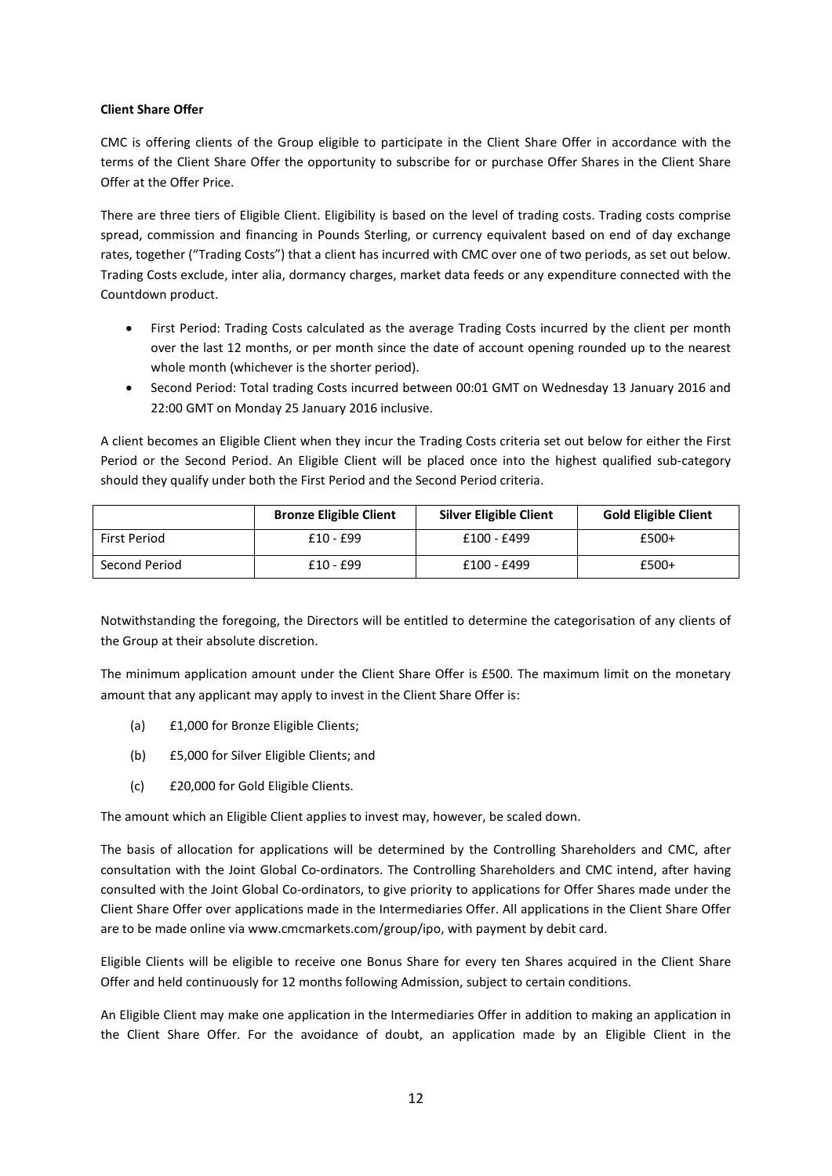# **Client Share Offer**

CMC is offering clients of the Group eligible to participate in the Client Share Offer in accordance with the terms of the Client Share Offer the opportunity to subscribe for or purchase Offer Shares in the Client Share Offer at the Offer Price.

There are three tiers of Eligible Client. Eligibility is based on the level of trading costs. Trading costs comprise spread, commission and financing in Pounds Sterling, or currency equivalent based on end of day exchange rates, together ("Trading Costs") that a client has incurred with CMC over one of two periods, as set out below. Trading Costs exclude, inter alia, dormancy charges, market data feeds or any expenditure connected with the Countdown product.

- First Period: Trading Costs calculated as the average Trading Costs incurred by the client per month over the last 12 months, or per month since the date of account opening rounded up to the nearest whole month (whichever is the shorter period).
- Second Period: Total trading Costs incurred between 00:01 GMT on Wednesday 13 January 2016 and 22:00 GMT on Monday 25 January 2016 inclusive.

A client becomes an Eligible Client when they incur the Trading Costs criteria set out below for either the First Period or the Second Period. An Eligible Client will be placed once into the highest qualified sub-category should they qualify under both the First Period and the Second Period criteria.

|               | <b>Bronze Eligible Client</b> | <b>Silver Eligible Client</b> | <b>Gold Eligible Client</b> |
|---------------|-------------------------------|-------------------------------|-----------------------------|
| First Period  | £10 - £99                     | £100 - £499                   | $£500+$                     |
| Second Period | $£10 - £99$                   | £100 - £499                   | £500+                       |

Notwithstanding the foregoing, the Directors will be entitled to determine the categorisation of any clients of the Group at their absolute discretion.

The minimum application amount under the Client Share Offer is £500. The maximum limit on the monetary amount that any applicant may apply to invest in the Client Share Offer is:

- (a) £1,000 for Bronze Eligible Clients;
- (b) £5,000 for Silver Eligible Clients; and
- (c) £20,000 for Gold Eligible Clients.

The amount which an Eligible Client applies to invest may, however, be scaled down.

The basis of allocation for applications will be determined by the Controlling Shareholders and CMC, after consultation with the Joint Global Co-ordinators. The Controlling Shareholders and CMC intend, after having consulted with the Joint Global Co-ordinators, to give priority to applications for Offer Shares made under the Client Share Offer over applications made in the Intermediaries Offer. All applications in the Client Share Offer are to be made online via www.cmcmarkets.com/group/ipo, with payment by debit card.

Eligible Clients will be eligible to receive one Bonus Share for every ten Shares acquired in the Client Share Offer and held continuously for 12 months following Admission, subject to certain conditions.

An Eligible Client may make one application in the Intermediaries Offer in addition to making an application in the Client Share Offer. For the avoidance of doubt, an application made by an Eligible Client in the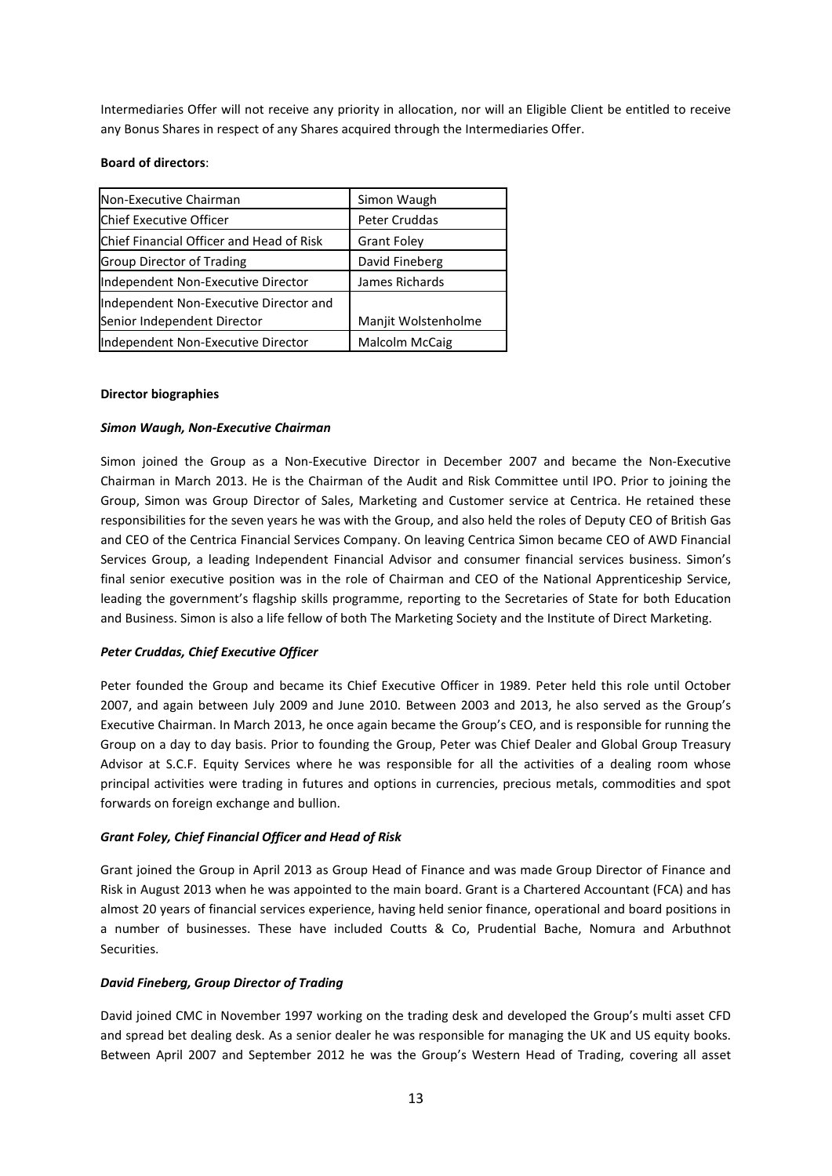Intermediaries Offer will not receive any priority in allocation, nor will an Eligible Client be entitled to receive any Bonus Shares in respect of any Shares acquired through the Intermediaries Offer.

#### **Board of directors**:

| Non-Executive Chairman                   | Simon Waugh           |
|------------------------------------------|-----------------------|
| Chief Executive Officer                  | Peter Cruddas         |
| Chief Financial Officer and Head of Risk | <b>Grant Foley</b>    |
| <b>Group Director of Trading</b>         | David Fineberg        |
| Independent Non-Executive Director       | James Richards        |
| Independent Non-Executive Director and   |                       |
| Senior Independent Director              | Manjit Wolstenholme   |
| Independent Non-Executive Director       | <b>Malcolm McCaig</b> |

#### **Director biographies**

#### *Simon Waugh, Non-Executive Chairman*

Simon joined the Group as a Non-Executive Director in December 2007 and became the Non-Executive Chairman in March 2013. He is the Chairman of the Audit and Risk Committee until IPO. Prior to joining the Group, Simon was Group Director of Sales, Marketing and Customer service at Centrica. He retained these responsibilities for the seven years he was with the Group, and also held the roles of Deputy CEO of British Gas and CEO of the Centrica Financial Services Company. On leaving Centrica Simon became CEO of AWD Financial Services Group, a leading Independent Financial Advisor and consumer financial services business. Simon's final senior executive position was in the role of Chairman and CEO of the National Apprenticeship Service, leading the government's flagship skills programme, reporting to the Secretaries of State for both Education and Business. Simon is also a life fellow of both The Marketing Society and the Institute of Direct Marketing.

#### *Peter Cruddas, Chief Executive Officer*

Peter founded the Group and became its Chief Executive Officer in 1989. Peter held this role until October 2007, and again between July 2009 and June 2010. Between 2003 and 2013, he also served as the Group's Executive Chairman. In March 2013, he once again became the Group's CEO, and is responsible for running the Group on a day to day basis. Prior to founding the Group, Peter was Chief Dealer and Global Group Treasury Advisor at S.C.F. Equity Services where he was responsible for all the activities of a dealing room whose principal activities were trading in futures and options in currencies, precious metals, commodities and spot forwards on foreign exchange and bullion.

#### *Grant Foley, Chief Financial Officer and Head of Risk*

Grant joined the Group in April 2013 as Group Head of Finance and was made Group Director of Finance and Risk in August 2013 when he was appointed to the main board. Grant is a Chartered Accountant (FCA) and has almost 20 years of financial services experience, having held senior finance, operational and board positions in a number of businesses. These have included Coutts & Co, Prudential Bache, Nomura and Arbuthnot Securities.

#### *David Fineberg, Group Director of Trading*

David joined CMC in November 1997 working on the trading desk and developed the Group's multi asset CFD and spread bet dealing desk. As a senior dealer he was responsible for managing the UK and US equity books. Between April 2007 and September 2012 he was the Group's Western Head of Trading, covering all asset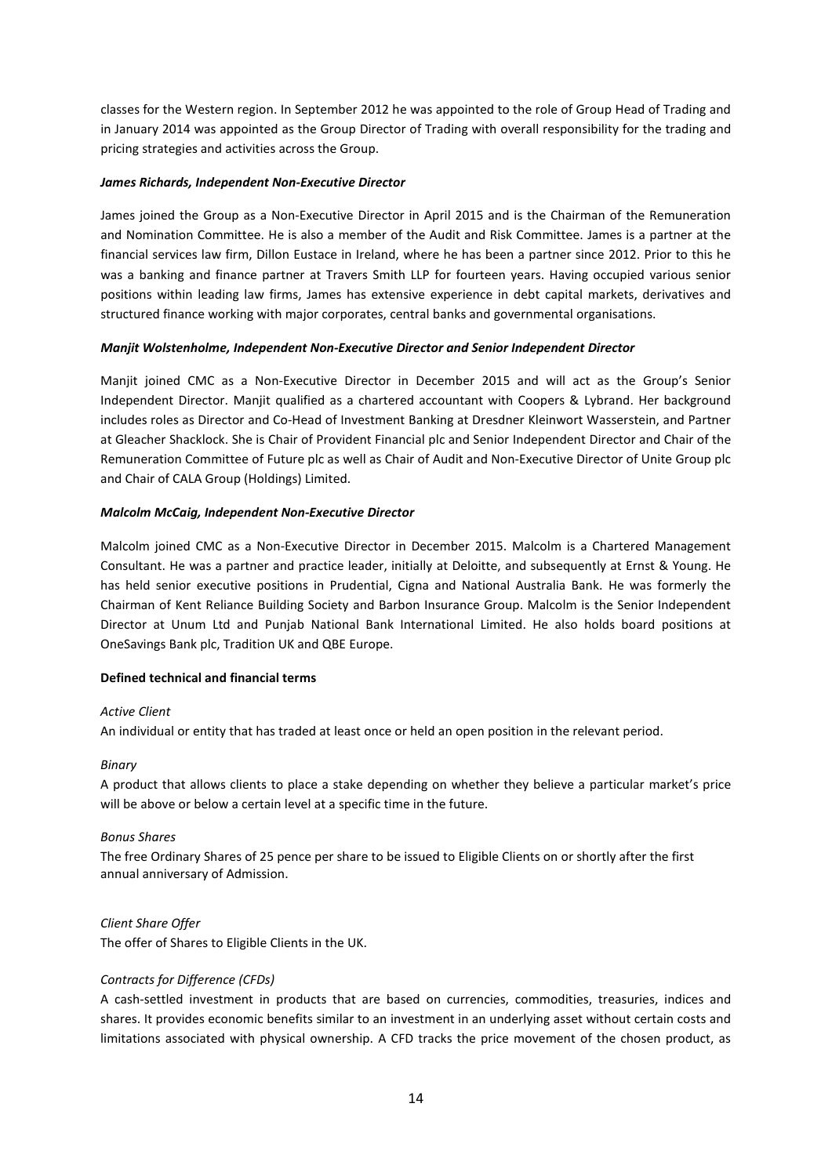classes for the Western region. In September 2012 he was appointed to the role of Group Head of Trading and in January 2014 was appointed as the Group Director of Trading with overall responsibility for the trading and pricing strategies and activities across the Group.

### *James Richards, Independent Non-Executive Director*

James joined the Group as a Non-Executive Director in April 2015 and is the Chairman of the Remuneration and Nomination Committee. He is also a member of the Audit and Risk Committee. James is a partner at the financial services law firm, Dillon Eustace in Ireland, where he has been a partner since 2012. Prior to this he was a banking and finance partner at Travers Smith LLP for fourteen years. Having occupied various senior positions within leading law firms, James has extensive experience in debt capital markets, derivatives and structured finance working with major corporates, central banks and governmental organisations.

# *Manjit Wolstenholme, Independent Non-Executive Director and Senior Independent Director*

Manjit joined CMC as a Non-Executive Director in December 2015 and will act as the Group's Senior Independent Director. Manjit qualified as a chartered accountant with Coopers & Lybrand. Her background includes roles as Director and Co-Head of Investment Banking at Dresdner Kleinwort Wasserstein, and Partner at Gleacher Shacklock. She is Chair of Provident Financial plc and Senior Independent Director and Chair of the Remuneration Committee of Future plc as well as Chair of Audit and Non-Executive Director of Unite Group plc and Chair of CALA Group (Holdings) Limited.

# *Malcolm McCaig, Independent Non-Executive Director*

Malcolm joined CMC as a Non-Executive Director in December 2015. Malcolm is a Chartered Management Consultant. He was a partner and practice leader, initially at Deloitte, and subsequently at Ernst & Young. He has held senior executive positions in Prudential, Cigna and National Australia Bank. He was formerly the Chairman of Kent Reliance Building Society and Barbon Insurance Group. Malcolm is the Senior Independent Director at Unum Ltd and Punjab National Bank International Limited. He also holds board positions at OneSavings Bank plc, Tradition UK and QBE Europe.

#### **Defined technical and financial terms**

#### *Active Client*

An individual or entity that has traded at least once or held an open position in the relevant period.

#### *Binary*

A product that allows clients to place a stake depending on whether they believe a particular market's price will be above or below a certain level at a specific time in the future.

#### *Bonus Shares*

The free Ordinary Shares of 25 pence per share to be issued to Eligible Clients on or shortly after the first annual anniversary of Admission.

# *Client Share Offer*

The offer of Shares to Eligible Clients in the UK.

# *Contracts for Difference (CFDs)*

A cash-settled investment in products that are based on currencies, commodities, treasuries, indices and shares. It provides economic benefits similar to an investment in an underlying asset without certain costs and limitations associated with physical ownership. A CFD tracks the price movement of the chosen product, as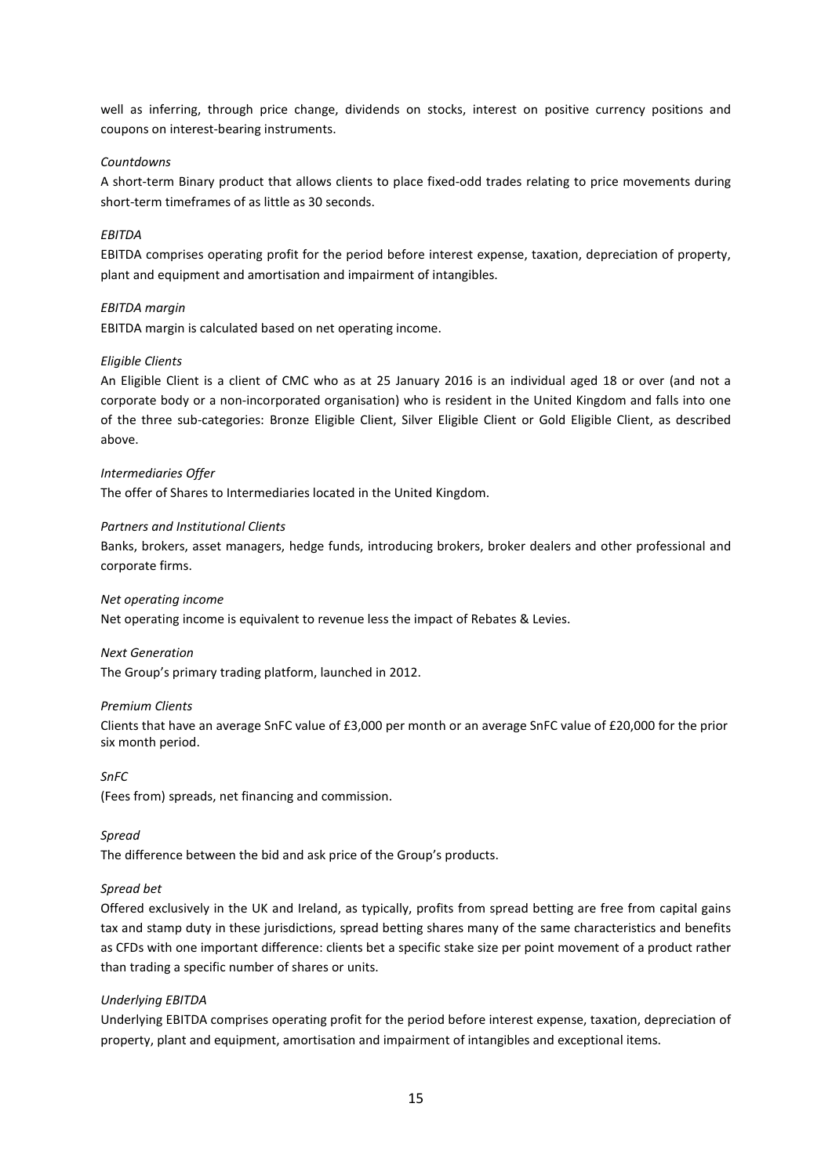well as inferring, through price change, dividends on stocks, interest on positive currency positions and coupons on interest-bearing instruments.

# *Countdowns*

A short-term Binary product that allows clients to place fixed-odd trades relating to price movements during short-term timeframes of as little as 30 seconds.

# *EBITDA*

EBITDA comprises operating profit for the period before interest expense, taxation, depreciation of property, plant and equipment and amortisation and impairment of intangibles.

#### *EBITDA margin*

EBITDA margin is calculated based on net operating income.

#### *Eligible Clients*

An Eligible Client is a client of CMC who as at 25 January 2016 is an individual aged 18 or over (and not a corporate body or a non-incorporated organisation) who is resident in the United Kingdom and falls into one of the three sub-categories: Bronze Eligible Client, Silver Eligible Client or Gold Eligible Client, as described above.

#### *Intermediaries Offer*

The offer of Shares to Intermediaries located in the United Kingdom.

### *Partners and Institutional Clients*

Banks, brokers, asset managers, hedge funds, introducing brokers, broker dealers and other professional and corporate firms.

#### *Net operating income*

Net operating income is equivalent to revenue less the impact of Rebates & Levies.

#### *Next Generation*

The Group's primary trading platform, launched in 2012.

#### *Premium Clients*

Clients that have an average SnFC value of £3,000 per month or an average SnFC value of £20,000 for the prior six month period.

*SnFC*

(Fees from) spreads, net financing and commission.

*Spread*

The difference between the bid and ask price of the Group's products.

#### *Spread bet*

Offered exclusively in the UK and Ireland, as typically, profits from spread betting are free from capital gains tax and stamp duty in these jurisdictions, spread betting shares many of the same characteristics and benefits as CFDs with one important difference: clients bet a specific stake size per point movement of a product rather than trading a specific number of shares or units.

#### *Underlying EBITDA*

Underlying EBITDA comprises operating profit for the period before interest expense, taxation, depreciation of property, plant and equipment, amortisation and impairment of intangibles and exceptional items.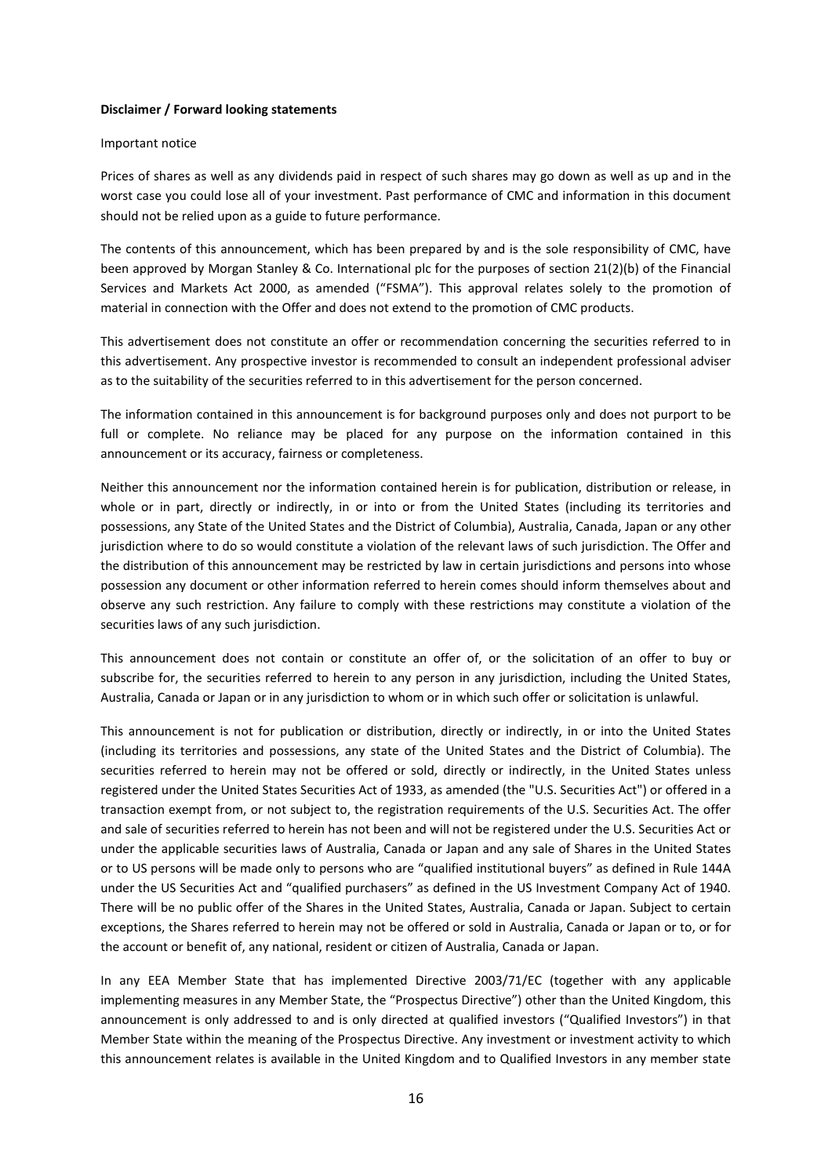#### **Disclaimer / Forward looking statements**

#### Important notice

Prices of shares as well as any dividends paid in respect of such shares may go down as well as up and in the worst case you could lose all of your investment. Past performance of CMC and information in this document should not be relied upon as a guide to future performance.

The contents of this announcement, which has been prepared by and is the sole responsibility of CMC, have been approved by Morgan Stanley & Co. International plc for the purposes of section 21(2)(b) of the Financial Services and Markets Act 2000, as amended ("FSMA"). This approval relates solely to the promotion of material in connection with the Offer and does not extend to the promotion of CMC products.

This advertisement does not constitute an offer or recommendation concerning the securities referred to in this advertisement. Any prospective investor is recommended to consult an independent professional adviser as to the suitability of the securities referred to in this advertisement for the person concerned.

The information contained in this announcement is for background purposes only and does not purport to be full or complete. No reliance may be placed for any purpose on the information contained in this announcement or its accuracy, fairness or completeness.

Neither this announcement nor the information contained herein is for publication, distribution or release, in whole or in part, directly or indirectly, in or into or from the United States (including its territories and possessions, any State of the United States and the District of Columbia), Australia, Canada, Japan or any other jurisdiction where to do so would constitute a violation of the relevant laws of such jurisdiction. The Offer and the distribution of this announcement may be restricted by law in certain jurisdictions and persons into whose possession any document or other information referred to herein comes should inform themselves about and observe any such restriction. Any failure to comply with these restrictions may constitute a violation of the securities laws of any such jurisdiction.

This announcement does not contain or constitute an offer of, or the solicitation of an offer to buy or subscribe for, the securities referred to herein to any person in any jurisdiction, including the United States, Australia, Canada or Japan or in any jurisdiction to whom or in which such offer or solicitation is unlawful.

This announcement is not for publication or distribution, directly or indirectly, in or into the United States (including its territories and possessions, any state of the United States and the District of Columbia). The securities referred to herein may not be offered or sold, directly or indirectly, in the United States unless registered under the United States Securities Act of 1933, as amended (the "U.S. Securities Act") or offered in a transaction exempt from, or not subject to, the registration requirements of the U.S. Securities Act. The offer and sale of securities referred to herein has not been and will not be registered under the U.S. Securities Act or under the applicable securities laws of Australia, Canada or Japan and any sale of Shares in the United States or to US persons will be made only to persons who are "qualified institutional buyers" as defined in Rule 144A under the US Securities Act and "qualified purchasers" as defined in the US Investment Company Act of 1940. There will be no public offer of the Shares in the United States, Australia, Canada or Japan. Subject to certain exceptions, the Shares referred to herein may not be offered or sold in Australia, Canada or Japan or to, or for the account or benefit of, any national, resident or citizen of Australia, Canada or Japan.

In any EEA Member State that has implemented Directive 2003/71/EC (together with any applicable implementing measures in any Member State, the "Prospectus Directive") other than the United Kingdom, this announcement is only addressed to and is only directed at qualified investors ("Qualified Investors") in that Member State within the meaning of the Prospectus Directive. Any investment or investment activity to which this announcement relates is available in the United Kingdom and to Qualified Investors in any member state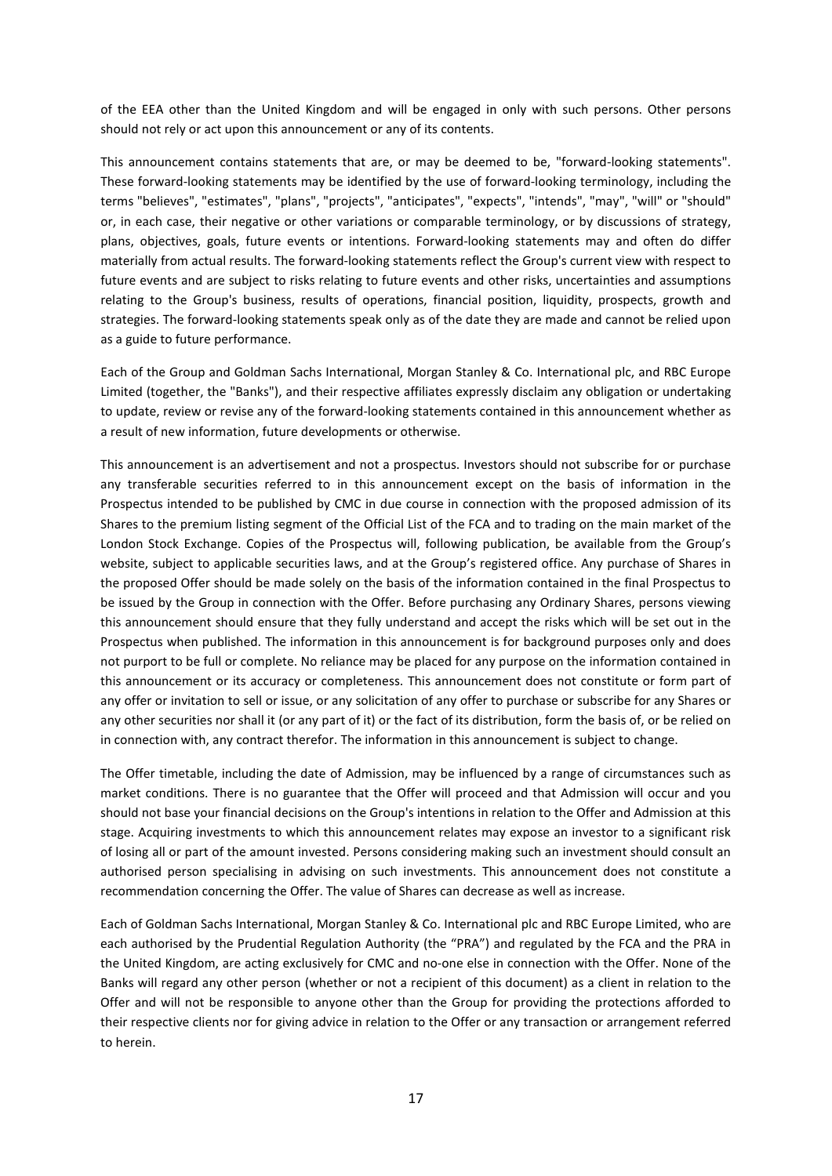of the EEA other than the United Kingdom and will be engaged in only with such persons. Other persons should not rely or act upon this announcement or any of its contents.

This announcement contains statements that are, or may be deemed to be, "forward-looking statements". These forward-looking statements may be identified by the use of forward-looking terminology, including the terms "believes", "estimates", "plans", "projects", "anticipates", "expects", "intends", "may", "will" or "should" or, in each case, their negative or other variations or comparable terminology, or by discussions of strategy, plans, objectives, goals, future events or intentions. Forward-looking statements may and often do differ materially from actual results. The forward-looking statements reflect the Group's current view with respect to future events and are subject to risks relating to future events and other risks, uncertainties and assumptions relating to the Group's business, results of operations, financial position, liquidity, prospects, growth and strategies. The forward-looking statements speak only as of the date they are made and cannot be relied upon as a guide to future performance.

Each of the Group and Goldman Sachs International, Morgan Stanley & Co. International plc, and RBC Europe Limited (together, the "Banks"), and their respective affiliates expressly disclaim any obligation or undertaking to update, review or revise any of the forward-looking statements contained in this announcement whether as a result of new information, future developments or otherwise.

This announcement is an advertisement and not a prospectus. Investors should not subscribe for or purchase any transferable securities referred to in this announcement except on the basis of information in the Prospectus intended to be published by CMC in due course in connection with the proposed admission of its Shares to the premium listing segment of the Official List of the FCA and to trading on the main market of the London Stock Exchange. Copies of the Prospectus will, following publication, be available from the Group's website, subject to applicable securities laws, and at the Group's registered office. Any purchase of Shares in the proposed Offer should be made solely on the basis of the information contained in the final Prospectus to be issued by the Group in connection with the Offer. Before purchasing any Ordinary Shares, persons viewing this announcement should ensure that they fully understand and accept the risks which will be set out in the Prospectus when published. The information in this announcement is for background purposes only and does not purport to be full or complete. No reliance may be placed for any purpose on the information contained in this announcement or its accuracy or completeness. This announcement does not constitute or form part of any offer or invitation to sell or issue, or any solicitation of any offer to purchase or subscribe for any Shares or any other securities nor shall it (or any part of it) or the fact of its distribution, form the basis of, or be relied on in connection with, any contract therefor. The information in this announcement is subject to change.

The Offer timetable, including the date of Admission, may be influenced by a range of circumstances such as market conditions. There is no guarantee that the Offer will proceed and that Admission will occur and you should not base your financial decisions on the Group's intentions in relation to the Offer and Admission at this stage. Acquiring investments to which this announcement relates may expose an investor to a significant risk of losing all or part of the amount invested. Persons considering making such an investment should consult an authorised person specialising in advising on such investments. This announcement does not constitute a recommendation concerning the Offer. The value of Shares can decrease as well as increase.

Each of Goldman Sachs International, Morgan Stanley & Co. International plc and RBC Europe Limited, who are each authorised by the Prudential Regulation Authority (the "PRA") and regulated by the FCA and the PRA in the United Kingdom, are acting exclusively for CMC and no-one else in connection with the Offer. None of the Banks will regard any other person (whether or not a recipient of this document) as a client in relation to the Offer and will not be responsible to anyone other than the Group for providing the protections afforded to their respective clients nor for giving advice in relation to the Offer or any transaction or arrangement referred to herein.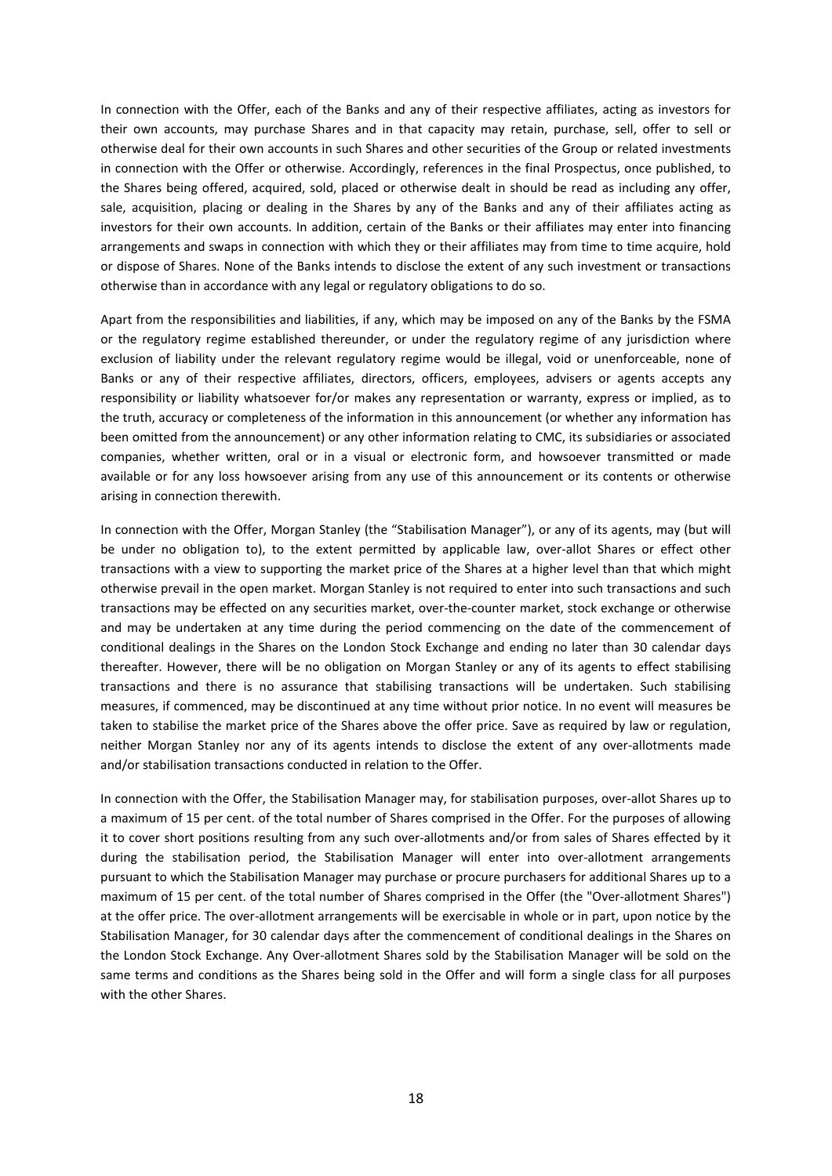In connection with the Offer, each of the Banks and any of their respective affiliates, acting as investors for their own accounts, may purchase Shares and in that capacity may retain, purchase, sell, offer to sell or otherwise deal for their own accounts in such Shares and other securities of the Group or related investments in connection with the Offer or otherwise. Accordingly, references in the final Prospectus, once published, to the Shares being offered, acquired, sold, placed or otherwise dealt in should be read as including any offer, sale, acquisition, placing or dealing in the Shares by any of the Banks and any of their affiliates acting as investors for their own accounts. In addition, certain of the Banks or their affiliates may enter into financing arrangements and swaps in connection with which they or their affiliates may from time to time acquire, hold or dispose of Shares. None of the Banks intends to disclose the extent of any such investment or transactions otherwise than in accordance with any legal or regulatory obligations to do so.

Apart from the responsibilities and liabilities, if any, which may be imposed on any of the Banks by the FSMA or the regulatory regime established thereunder, or under the regulatory regime of any jurisdiction where exclusion of liability under the relevant regulatory regime would be illegal, void or unenforceable, none of Banks or any of their respective affiliates, directors, officers, employees, advisers or agents accepts any responsibility or liability whatsoever for/or makes any representation or warranty, express or implied, as to the truth, accuracy or completeness of the information in this announcement (or whether any information has been omitted from the announcement) or any other information relating to CMC, its subsidiaries or associated companies, whether written, oral or in a visual or electronic form, and howsoever transmitted or made available or for any loss howsoever arising from any use of this announcement or its contents or otherwise arising in connection therewith.

In connection with the Offer, Morgan Stanley (the "Stabilisation Manager"), or any of its agents, may (but will be under no obligation to), to the extent permitted by applicable law, over-allot Shares or effect other transactions with a view to supporting the market price of the Shares at a higher level than that which might otherwise prevail in the open market. Morgan Stanley is not required to enter into such transactions and such transactions may be effected on any securities market, over-the-counter market, stock exchange or otherwise and may be undertaken at any time during the period commencing on the date of the commencement of conditional dealings in the Shares on the London Stock Exchange and ending no later than 30 calendar days thereafter. However, there will be no obligation on Morgan Stanley or any of its agents to effect stabilising transactions and there is no assurance that stabilising transactions will be undertaken. Such stabilising measures, if commenced, may be discontinued at any time without prior notice. In no event will measures be taken to stabilise the market price of the Shares above the offer price. Save as required by law or regulation, neither Morgan Stanley nor any of its agents intends to disclose the extent of any over-allotments made and/or stabilisation transactions conducted in relation to the Offer.

In connection with the Offer, the Stabilisation Manager may, for stabilisation purposes, over-allot Shares up to a maximum of 15 per cent. of the total number of Shares comprised in the Offer. For the purposes of allowing it to cover short positions resulting from any such over-allotments and/or from sales of Shares effected by it during the stabilisation period, the Stabilisation Manager will enter into over-allotment arrangements pursuant to which the Stabilisation Manager may purchase or procure purchasers for additional Shares up to a maximum of 15 per cent. of the total number of Shares comprised in the Offer (the "Over-allotment Shares") at the offer price. The over-allotment arrangements will be exercisable in whole or in part, upon notice by the Stabilisation Manager, for 30 calendar days after the commencement of conditional dealings in the Shares on the London Stock Exchange. Any Over-allotment Shares sold by the Stabilisation Manager will be sold on the same terms and conditions as the Shares being sold in the Offer and will form a single class for all purposes with the other Shares.